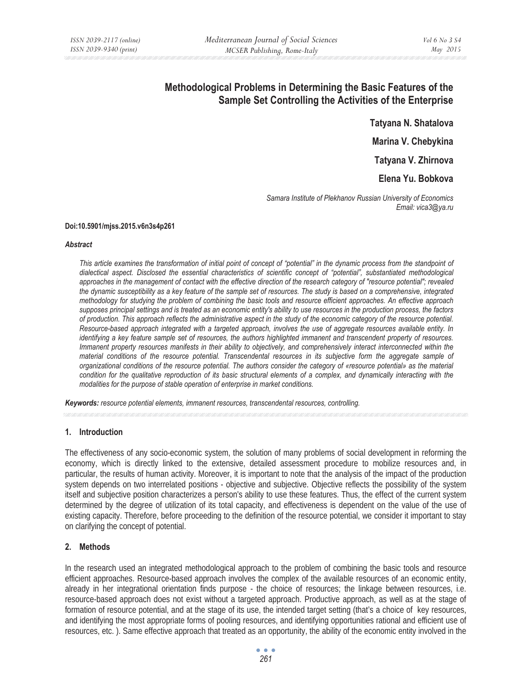# **Methodological Problems in Determining the Basic Features of the Sample Set Controlling the Activities of the Enterprise**

**Tatyana N. Shatalova Marina V. Chebykina** 

**Tatyana V. Zhirnova** 

**Elena Yu. Bobkova** 

*Samara Institute of Plekhanov Russian University of Economics Email: vica3@ya.ru* 

#### **Doi:10.5901/mjss.2015.v6n3s4p261**

#### *Abstract*

*This article examines the transformation of initial point of concept of "potential" in the dynamic process from the standpoint of dialectical aspect. Disclosed the essential characteristics of scientific concept of "potential", substantiated methodological approaches in the management of contact with the effective direction of the research category of "resource potential"; revealed the dynamic susceptibility as a key feature of the sample set of resources. The study is based on a comprehensive, integrated methodology for studying the problem of combining the basic tools and resource efficient approaches. An effective approach supposes principal settings and is treated as an economic entity's ability to use resources in the production process, the factors of production. This approach reflects the administrative aspect in the study of the economic category of the resource potential. Resource-based approach integrated with a targeted approach, involves the use of aggregate resources available entity. In identifying a key feature sample set of resources, the authors highlighted immanent and transcendent property of resources. Immanent property resources manifests in their ability to objectively, and comprehensively interact interconnected within the material conditions of the resource potential. Transcendental resources in its subjective form the aggregate sample of organizational conditions of the resource potential. The authors consider the category of «resource potential» as the material condition for the qualitative reproduction of its basic structural elements of a complex, and dynamically interacting with the modalities for the purpose of stable operation of enterprise in market conditions.* 

*Keywords: resource potential elements, immanent resources, transcendental resources, controlling.*

## **1. Introduction**

The effectiveness of any socio-economic system, the solution of many problems of social development in reforming the economy, which is directly linked to the extensive, detailed assessment procedure to mobilize resources and, in particular, the results of human activity. Moreover, it is important to note that the analysis of the impact of the production system depends on two interrelated positions - objective and subjective. Objective reflects the possibility of the system itself and subjective position characterizes a person's ability to use these features. Thus, the effect of the current system determined by the degree of utilization of its total capacity, and effectiveness is dependent on the value of the use of existing capacity. Therefore, before proceeding to the definition of the resource potential, we consider it important to stay on clarifying the concept of potential.

## **2. Methods**

In the research used an integrated methodological approach to the problem of combining the basic tools and resource efficient approaches. Resource-based approach involves the complex of the available resources of an economic entity, already in her integrational orientation finds purpose - the choice of resources; the linkage between resources, i.e. resource-based approach does not exist without a targeted approach. Productive approach, as well as at the stage of formation of resource potential, and at the stage of its use, the intended target setting (that's a choice of key resources, and identifying the most appropriate forms of pooling resources, and identifying opportunities rational and efficient use of resources, etc. ). Same effective approach that treated as an opportunity, the ability of the economic entity involved in the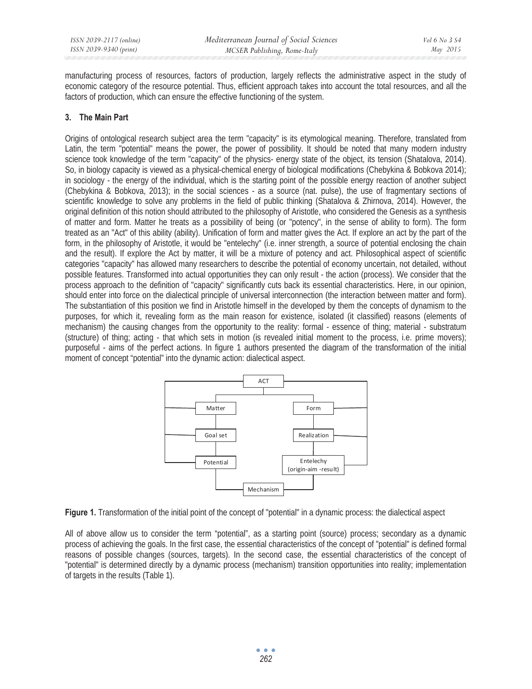manufacturing process of resources, factors of production, largely reflects the administrative aspect in the study of economic category of the resource potential. Thus, efficient approach takes into account the total resources, and all the factors of production, which can ensure the effective functioning of the system.

## **3. The Main Part**

Origins of ontological research subject area the term "capacity" is its etymological meaning. Therefore, translated from Latin, the term "potential" means the power, the power of possibility. It should be noted that many modern industry science took knowledge of the term "capacity" of the physics- energy state of the object, its tension (Shatalova, 2014). So, in biology capacity is viewed as a physical-chemical energy of biological modifications (Chebykina & Bobkova 2014); in sociology - the energy of the individual, which is the starting point of the possible energy reaction of another subject (Chebykina & Bobkova, 2013); in the social sciences - as a source (nat. pulse), the use of fragmentary sections of scientific knowledge to solve any problems in the field of public thinking (Shatalova & Zhirnova, 2014). However, the original definition of this notion should attributed to the philosophy of Aristotle, who considered the Genesis as a synthesis of matter and form. Matter he treats as a possibility of being (or "potency", in the sense of ability to form). The form treated as an "Act" of this ability (ability). Unification of form and matter gives the Act. If explore an act by the part of the form, in the philosophy of Aristotle, it would be "entelechy" (i.e. inner strength, a source of potential enclosing the chain and the result). If explore the Act by matter, it will be a mixture of potency and act. Philosophical aspect of scientific categories "capacity" has allowed many researchers to describe the potential of economy uncertain, not detailed, without possible features. Transformed into actual opportunities they can only result - the action (process). We consider that the process approach to the definition of "capacity" significantly cuts back its essential characteristics. Here, in our opinion, should enter into force on the dialectical principle of universal interconnection (the interaction between matter and form). The substantiation of this position we find in Aristotle himself in the developed by them the concepts of dynamism to the purposes, for which it, revealing form as the main reason for existence, isolated (it classified) reasons (elements of mechanism) the causing changes from the opportunity to the reality: formal - essence of thing; material - substratum (structure) of thing; acting - that which sets in motion (is revealed initial moment to the process, i.e. prime movers); purposeful - aims of the perfect actions. In figure 1 authors presented the diagram of the transformation of the initial moment of concept "potential" into the dynamic action: dialectical aspect.



**Figure 1.** Transformation of the initial point of the concept of "potential" in a dynamic process: the dialectical aspect

All of above allow us to consider the term "potential", as a starting point (source) process; secondary as a dynamic process of achieving the goals. In the first case, the essential characteristics of the concept of "potential" is defined formal reasons of possible changes (sources, targets). In the second case, the essential characteristics of the concept of "potential" is determined directly by a dynamic process (mechanism) transition opportunities into reality; implementation of targets in the results (Table 1).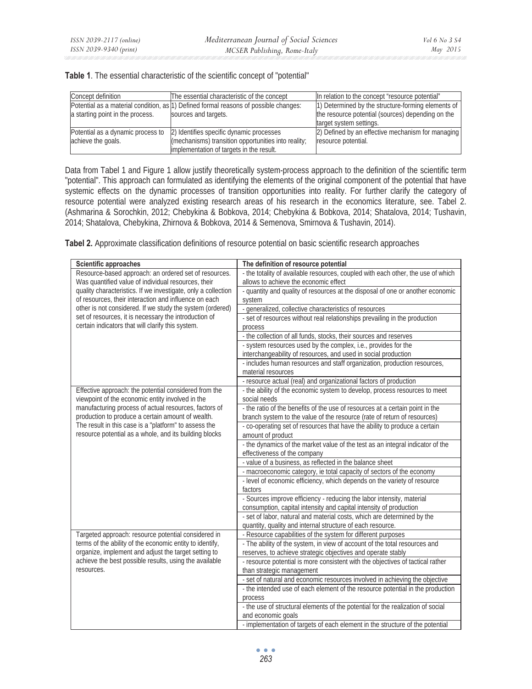| Concept definition                | The essential characteristic of the concept                                           | In relation to the concept "resource potential"    |
|-----------------------------------|---------------------------------------------------------------------------------------|----------------------------------------------------|
|                                   | Potential as a material condition, as (1) Defined formal reasons of possible changes: | 1) Determined by the structure-forming elements of |
| a starting point in the process.  | sources and targets.                                                                  | the resource potential (sources) depending on the  |
|                                   |                                                                                       | target system settings.                            |
| Potential as a dynamic process to | 2) Identifies specific dynamic processes                                              | [2] Defined by an effective mechanism for managing |
| achieve the goals.                | (mechanisms) transition opportunities into reality;                                   | resource potential.                                |
|                                   | implementation of targets in the result.                                              |                                                    |

**Table 1**. The essential characteristic of the scientific concept of "potential"

Data from Tabel 1 and Figure 1 allow justify theoretically system-process approach to the definition of the scientific term "potential". This approach can formulated as identifying the elements of the original component of the potential that have systemic effects on the dynamic processes of transition opportunities into reality. For further clarify the category of resource potential were analyzed existing research areas of his research in the economics literature, see. Tabel 2. (Ashmarina & Sorochkin, 2012; Chebykina & Bobkova, 2014; Chebykina & Bobkova, 2014; Shatalova, 2014; Tushavin, 2014; Shatalova, Chebykina, Zhirnova & Bobkova, 2014 & Semenova, Smirnova & Tushavin, 2014).

**Tabel 2.** Approximate classification definitions of resource potential on basic scientific research approaches

| <b>Scientific approaches</b>                                  | The definition of resource potential                                             |
|---------------------------------------------------------------|----------------------------------------------------------------------------------|
| Resource-based approach: an ordered set of resources.         | - the totality of available resources, coupled with each other, the use of which |
| Was quantified value of individual resources, their           | allows to achieve the economic effect                                            |
| quality characteristics. If we investigate, only a collection | - quantity and quality of resources at the disposal of one or another economic   |
| of resources, their interaction and influence on each         | system                                                                           |
| other is not considered. If we study the system (ordered)     | - generalized, collective characteristics of resources                           |
| set of resources, it is necessary the introduction of         | - set of resources without real relationships prevailing in the production       |
| certain indicators that will clarify this system.             | process                                                                          |
|                                                               | - the collection of all funds, stocks, their sources and reserves                |
|                                                               | - system resources used by the complex, i.e., provides for the                   |
|                                                               | interchangeability of resources, and used in social production                   |
|                                                               | - includes human resources and staff organization, production resources,         |
|                                                               | material resources                                                               |
|                                                               | - resource actual (real) and organizational factors of production                |
| Effective approach: the potential considered from the         | - the ability of the economic system to develop, process resources to meet       |
| viewpoint of the economic entity involved in the              | social needs                                                                     |
| manufacturing process of actual resources, factors of         | - the ratio of the benefits of the use of resources at a certain point in the    |
| production to produce a certain amount of wealth.             | branch system to the value of the resource (rate of return of resources)         |
| The result in this case is a "platform" to assess the         | - co-operating set of resources that have the ability to produce a certain       |
| resource potential as a whole, and its building blocks        | amount of product                                                                |
|                                                               | - the dynamics of the market value of the test as an integral indicator of the   |
|                                                               | effectiveness of the company                                                     |
|                                                               | - value of a business, as reflected in the balance sheet                         |
|                                                               | - macroeconomic category, ie total capacity of sectors of the economy            |
|                                                               | - level of economic efficiency, which depends on the variety of resource         |
|                                                               | factors                                                                          |
|                                                               | - Sources improve efficiency - reducing the labor intensity, material            |
|                                                               | consumption, capital intensity and capital intensity of production               |
|                                                               | - set of labor, natural and material costs, which are determined by the          |
|                                                               | quantity, quality and internal structure of each resource.                       |
| Targeted approach: resource potential considered in           | - Resource capabilities of the system for different purposes                     |
| terms of the ability of the economic entity to identify,      | - The ability of the system, in view of account of the total resources and       |
| organize, implement and adjust the target setting to          | reserves, to achieve strategic objectives and operate stably                     |
| achieve the best possible results, using the available        | - resource potential is more consistent with the objectives of tactical rather   |
| resources.                                                    | than strategic management                                                        |
|                                                               | - set of natural and economic resources involved in achieving the objective      |
|                                                               | - the intended use of each element of the resource potential in the production   |
|                                                               | process                                                                          |
|                                                               | - the use of structural elements of the potential for the realization of social  |
|                                                               | and economic goals                                                               |
|                                                               | - implementation of targets of each element in the structure of the potential    |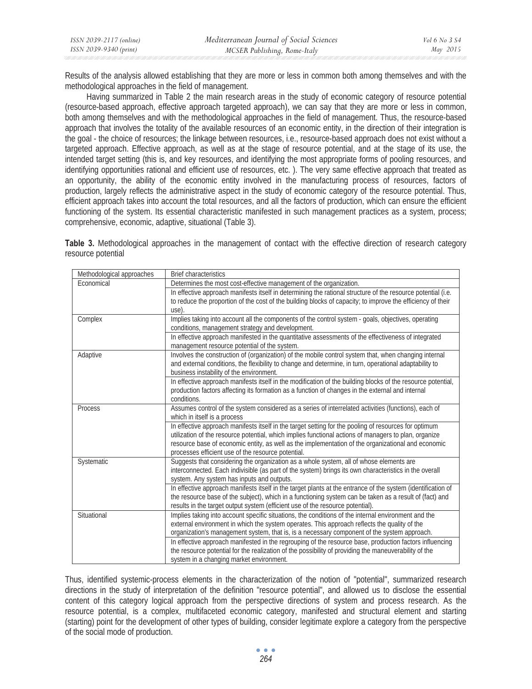| ISSN 2039-2117 (online) | Mediterranean Journal of Social Sciences | Vol 6 No 3 S4 |
|-------------------------|------------------------------------------|---------------|
| ISSN 2039-9340 (print)  | MCSER Publishing, Rome-Italy             | May 2015      |

Results of the analysis allowed establishing that they are more or less in common both among themselves and with the methodological approaches in the field of management.

Having summarized in Table 2 the main research areas in the study of economic category of resource potential (resource-based approach, effective approach targeted approach), we can say that they are more or less in common, both among themselves and with the methodological approaches in the field of management. Thus, the resource-based approach that involves the totality of the available resources of an economic entity, in the direction of their integration is the goal - the choice of resources; the linkage between resources, i.e., resource-based approach does not exist without a targeted approach. Effective approach, as well as at the stage of resource potential, and at the stage of its use, the intended target setting (this is, and key resources, and identifying the most appropriate forms of pooling resources, and identifying opportunities rational and efficient use of resources, etc. ). The very same effective approach that treated as an opportunity, the ability of the economic entity involved in the manufacturing process of resources, factors of production, largely reflects the administrative aspect in the study of economic category of the resource potential. Thus, efficient approach takes into account the total resources, and all the factors of production, which can ensure the efficient functioning of the system. Its essential characteristic manifested in such management practices as a system, process; comprehensive, economic, adaptive, situational (Table 3).

**Table 3.** Methodological approaches in the management of contact with the effective direction of research category resource potential

| Methodological approaches | <b>Brief characteristics</b>                                                                                                                                                                                     |
|---------------------------|------------------------------------------------------------------------------------------------------------------------------------------------------------------------------------------------------------------|
| Economical                | Determines the most cost-effective management of the organization.                                                                                                                                               |
|                           | In effective approach manifests itself in determining the rational structure of the resource potential (i.e.                                                                                                     |
|                           | to reduce the proportion of the cost of the building blocks of capacity; to improve the efficiency of their                                                                                                      |
|                           | use).                                                                                                                                                                                                            |
| Complex                   | Implies taking into account all the components of the control system - goals, objectives, operating                                                                                                              |
|                           | conditions, management strategy and development.                                                                                                                                                                 |
|                           | In effective approach manifested in the quantitative assessments of the effectiveness of integrated                                                                                                              |
|                           | management resource potential of the system.                                                                                                                                                                     |
| Adaptive                  | Involves the construction of (organization) of the mobile control system that, when changing internal                                                                                                            |
|                           | and external conditions, the flexibility to change and determine, in turn, operational adaptability to                                                                                                           |
|                           | business instability of the environment.                                                                                                                                                                         |
|                           | In effective approach manifests itself in the modification of the building blocks of the resource potential,<br>production factors affecting its formation as a function of changes in the external and internal |
|                           | conditions.                                                                                                                                                                                                      |
| Process                   | Assumes control of the system considered as a series of interrelated activities (functions), each of                                                                                                             |
|                           | which in itself is a process                                                                                                                                                                                     |
|                           | In effective approach manifests itself in the target setting for the pooling of resources for optimum                                                                                                            |
|                           | utilization of the resource potential, which implies functional actions of managers to plan, organize                                                                                                            |
|                           | resource base of economic entity, as well as the implementation of the organizational and economic                                                                                                               |
|                           | processes efficient use of the resource potential.                                                                                                                                                               |
| Systematic                | Suggests that considering the organization as a whole system, all of whose elements are                                                                                                                          |
|                           | interconnected. Each indivisible (as part of the system) brings its own characteristics in the overall                                                                                                           |
|                           | system. Any system has inputs and outputs.                                                                                                                                                                       |
|                           | In effective approach manifests itself in the target plants at the entrance of the system (identification of                                                                                                     |
|                           | the resource base of the subject), which in a functioning system can be taken as a result of (fact) and                                                                                                          |
|                           | results in the target output system (efficient use of the resource potential).                                                                                                                                   |
| Situational               | Implies taking into account specific situations, the conditions of the internal environment and the                                                                                                              |
|                           | external environment in which the system operates. This approach reflects the quality of the                                                                                                                     |
|                           | organization's management system, that is, is a necessary component of the system approach.                                                                                                                      |
|                           | In effective approach manifested in the regrouping of the resource base, production factors influencing                                                                                                          |
|                           | the resource potential for the realization of the possibility of providing the maneuverability of the                                                                                                            |
|                           | system in a changing market environment.                                                                                                                                                                         |

Thus, identified systemic-process elements in the characterization of the notion of "potential", summarized research directions in the study of interpretation of the definition "resource potential", and allowed us to disclose the essential content of this category logical approach from the perspective directions of system and process research. As the resource potential, is a complex, multifaceted economic category, manifested and structural element and starting (starting) point for the development of other types of building, consider legitimate explore a category from the perspective of the social mode of production.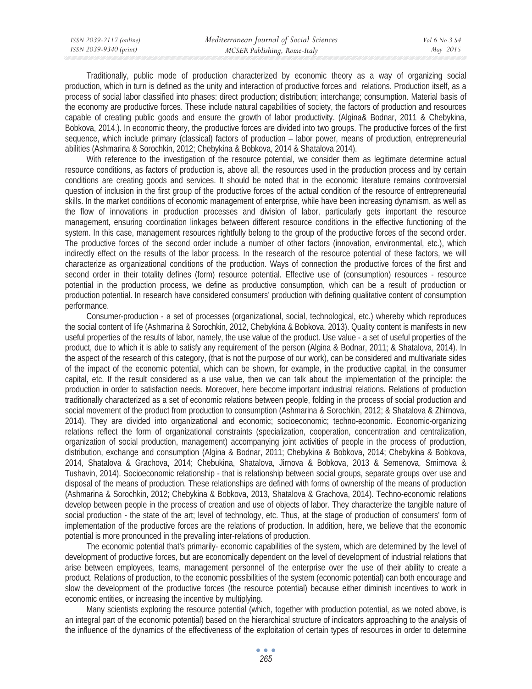| ISSN 2039-2117 (online) | Mediterranean Journal of Social Sciences | Vol 6 No 3 S4 |
|-------------------------|------------------------------------------|---------------|
| ISSN 2039-9340 (print)  | MCSER Publishing, Rome-Italy             | May 2015      |
|                         |                                          |               |

Traditionally, public mode of production characterized by economic theory as a way of organizing social production, which in turn is defined as the unity and interaction of productive forces and relations. Production itself, as a process of social labor classified into phases: direct production; distribution; interchange; consumption. Material basis of the economy are productive forces. These include natural capabilities of society, the factors of production and resources capable of creating public goods and ensure the growth of labor productivity. (Algina& Bodnar, 2011 & Chebykina, Bobkova, 2014.). In economic theory, the productive forces are divided into two groups. The productive forces of the first sequence, which include primary (classical) factors of production – labor power, means of production, entrepreneurial abilities (Ashmarina & Sorochkin, 2012; Chebykina & Bobkova, 2014 & Shatalova 2014).

With reference to the investigation of the resource potential, we consider them as legitimate determine actual resource conditions, as factors of production is, above all, the resources used in the production process and by certain conditions are creating goods and services. It should be noted that in the economic literature remains controversial question of inclusion in the first group of the productive forces of the actual condition of the resource of entrepreneurial skills. In the market conditions of economic management of enterprise, while have been increasing dynamism, as well as the flow of innovations in production processes and division of labor, particularly gets important the resource management, ensuring coordination linkages between different resource conditions in the effective functioning of the system. In this case, management resources rightfully belong to the group of the productive forces of the second order. The productive forces of the second order include a number of other factors (innovation, environmental, etc.), which indirectly effect on the results of the labor process. In the research of the resource potential of these factors, we will characterize as organizational conditions of the production. Ways of connection the productive forces of the first and second order in their totality defines (form) resource potential. Effective use of (consumption) resources - resource potential in the production process, we define as productive consumption, which can be a result of production or production potential. In research have considered consumers' production with defining qualitative content of consumption performance.

Consumer-production - a set of processes (organizational, social, technological, etc.) whereby which reproduces the social content of life (Ashmarina & Sorochkin, 2012, Chebykina & Bobkova, 2013). Quality content is manifests in new useful properties of the results of labor, namely, the use value of the product. Use value - a set of useful properties of the product, due to which it is able to satisfy any requirement of the person (Algina & Bodnar, 2011; & Shatalova, 2014). In the aspect of the research of this category, (that is not the purpose of our work), can be considered and multivariate sides of the impact of the economic potential, which can be shown, for example, in the productive capital, in the consumer capital, etc. If the result considered as a use value, then we can talk about the implementation of the principle: the production in order to satisfaction needs. Moreover, here become important industrial relations. Relations of production traditionally characterized as a set of economic relations between people, folding in the process of social production and social movement of the product from production to consumption (Ashmarina & Sorochkin, 2012; & Shatalova & Zhirnova, 2014). They are divided into organizational and economic; socioeconomic; techno-economic. Economic-organizing relations reflect the form of organizational constraints (specialization, cooperation, concentration and centralization, organization of social production, management) accompanying joint activities of people in the process of production, distribution, exchange and consumption (Algina & Bodnar, 2011; Chebykina & Bobkova, 2014; Chebykina & Bobkova, 2014, Shatalova & Grachova, 2014; Chebukina, Shatalova, Jirnova & Bobkova, 2013 & Semenova, Smirnova & Tushavin, 2014). Socioeconomic relationship - that is relationship between social groups, separate groups over use and disposal of the means of production. These relationships are defined with forms of ownership of the means of production (Ashmarina & Sorochkin, 2012; Chebykina & Bobkova, 2013, Shatalova & Grachova, 2014). Techno-economic relations develop between people in the process of creation and use of objects of labor. They characterize the tangible nature of social production - the state of the art; level of technology, etc. Thus, at the stage of production of consumers' form of implementation of the productive forces are the relations of production. In addition, here, we believe that the economic potential is more pronounced in the prevailing inter-relations of production.

The economic potential that's primarily- economic capabilities of the system, which are determined by the level of development of productive forces, but are economically dependent on the level of development of industrial relations that arise between employees, teams, management personnel of the enterprise over the use of their ability to create a product. Relations of production, to the economic possibilities of the system (economic potential) can both encourage and slow the development of the productive forces (the resource potential) because either diminish incentives to work in economic entities, or increasing the incentive by multiplying.

Many scientists exploring the resource potential (which, together with production potential, as we noted above, is an integral part of the economic potential) based on the hierarchical structure of indicators approaching to the analysis of the influence of the dynamics of the effectiveness of the exploitation of certain types of resources in order to determine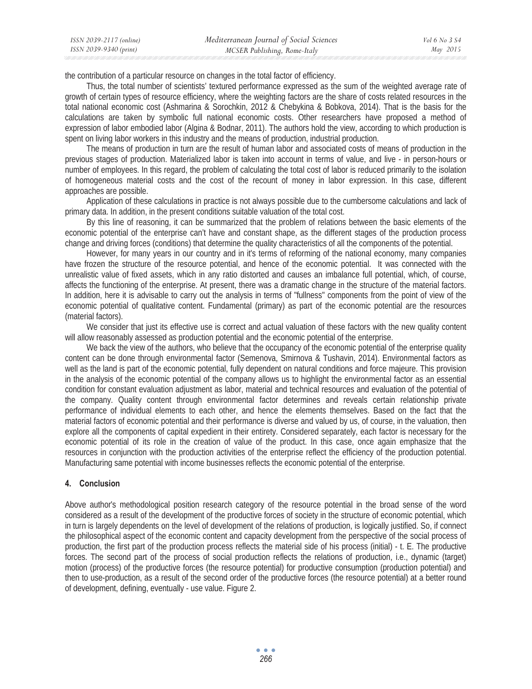| ISSN 2039-2117 (online) | Mediterranean Journal of Social Sciences | Vol 6 No 3 S4 |
|-------------------------|------------------------------------------|---------------|
| ISSN 2039-9340 (print)  | MCSER Publishing, Rome-Italy             | May 2015      |

the contribution of a particular resource on changes in the total factor of efficiency.

Thus, the total number of scientists' textured performance expressed as the sum of the weighted average rate of growth of certain types of resource efficiency, where the weighting factors are the share of costs related resources in the total national economic cost (Ashmarina & Sorochkin, 2012 & Chebykina & Bobkova, 2014). That is the basis for the calculations are taken by symbolic full national economic costs. Other researchers have proposed a method of expression of labor embodied labor (Algina & Bodnar, 2011). The authors hold the view, according to which production is spent on living labor workers in this industry and the means of production, industrial production.

The means of production in turn are the result of human labor and associated costs of means of production in the previous stages of production. Materialized labor is taken into account in terms of value, and live - in person-hours or number of employees. In this regard, the problem of calculating the total cost of labor is reduced primarily to the isolation of homogeneous material costs and the cost of the recount of money in labor expression. In this case, different approaches are possible.

Application of these calculations in practice is not always possible due to the cumbersome calculations and lack of primary data. In addition, in the present conditions suitable valuation of the total cost.

By this line of reasoning, it can be summarized that the problem of relations between the basic elements of the economic potential of the enterprise can't have and constant shape, as the different stages of the production process change and driving forces (conditions) that determine the quality characteristics of all the components of the potential.

However, for many years in our country and in it's terms of reforming of the national economy, many companies have frozen the structure of the resource potential, and hence of the economic potential. It was connected with the unrealistic value of fixed assets, which in any ratio distorted and causes an imbalance full potential, which, of course, affects the functioning of the enterprise. At present, there was a dramatic change in the structure of the material factors. In addition, here it is advisable to carry out the analysis in terms of "fullness" components from the point of view of the economic potential of qualitative content. Fundamental (primary) as part of the economic potential are the resources (material factors).

We consider that just its effective use is correct and actual valuation of these factors with the new quality content will allow reasonably assessed as production potential and the economic potential of the enterprise.

We back the view of the authors, who believe that the occupancy of the economic potential of the enterprise quality content can be done through environmental factor (Semenova, Smirnova & Tushavin, 2014). Environmental factors as well as the land is part of the economic potential, fully dependent on natural conditions and force majeure. This provision in the analysis of the economic potential of the company allows us to highlight the environmental factor as an essential condition for constant evaluation adjustment as labor, material and technical resources and evaluation of the potential of the company. Quality content through environmental factor determines and reveals certain relationship private performance of individual elements to each other, and hence the elements themselves. Based on the fact that the material factors of economic potential and their performance is diverse and valued by us, of course, in the valuation, then explore all the components of capital expedient in their entirety. Considered separately, each factor is necessary for the economic potential of its role in the creation of value of the product. In this case, once again emphasize that the resources in conjunction with the production activities of the enterprise reflect the efficiency of the production potential. Manufacturing same potential with income businesses reflects the economic potential of the enterprise.

#### **4. Conclusion**

Above author's methodological position research category of the resource potential in the broad sense of the word considered as a result of the development of the productive forces of society in the structure of economic potential, which in turn is largely dependents on the level of development of the relations of production, is logically justified. So, if connect the philosophical aspect of the economic content and capacity development from the perspective of the social process of production, the first part of the production process reflects the material side of his process (initial) - t. E. The productive forces. The second part of the process of social production reflects the relations of production, i.e., dynamic (target) motion (process) of the productive forces (the resource potential) for productive consumption (production potential) and then to use-production, as a result of the second order of the productive forces (the resource potential) at a better round of development, defining, eventually - use value. Figure 2.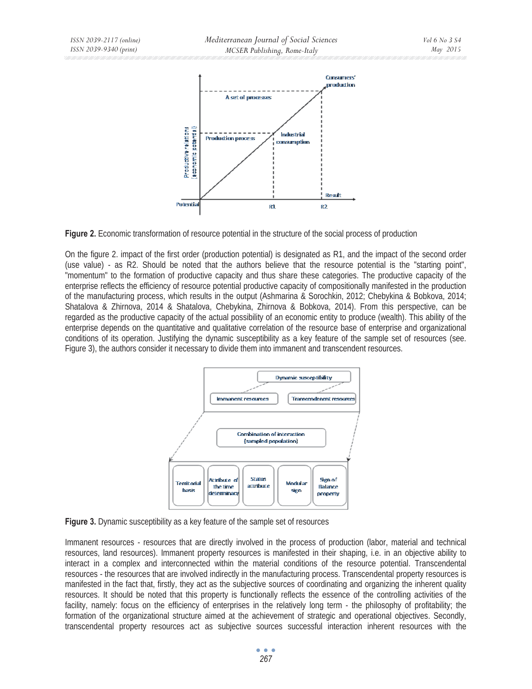



On the figure 2. impact of the first order (production potential) is designated as R1, and the impact of the second order (use value) - as R2. Should be noted that the authors believe that the resource potential is the "starting point", "momentum" to the formation of productive capacity and thus share these categories. The productive capacity of the enterprise reflects the efficiency of resource potential productive capacity of compositionally manifested in the production of the manufacturing process, which results in the output (Ashmarina & Sorochkin, 2012; Chebykina & Bobkova, 2014; Shatalova & Zhirnova, 2014 & Shatalova, Chebykina, Zhirnova & Bobkova, 2014). From this perspective, can be regarded as the productive capacity of the actual possibility of an economic entity to produce (wealth). This ability of the enterprise depends on the quantitative and qualitative correlation of the resource base of enterprise and organizational conditions of its operation. Justifying the dynamic susceptibility as a key feature of the sample set of resources (see. Figure 3), the authors consider it necessary to divide them into immanent and transcendent resources.



**Figure 3.** Dynamic susceptibility as a key feature of the sample set of resources

Immanent resources - resources that are directly involved in the process of production (labor, material and technical resources, land resources). Immanent property resources is manifested in their shaping, i.e. in an objective ability to interact in a complex and interconnected within the material conditions of the resource potential. Transcendental resources - the resources that are involved indirectly in the manufacturing process. Transcendental property resources is manifested in the fact that, firstly, they act as the subjective sources of coordinating and organizing the inherent quality resources. It should be noted that this property is functionally reflects the essence of the controlling activities of the facility, namely: focus on the efficiency of enterprises in the relatively long term - the philosophy of profitability; the formation of the organizational structure aimed at the achievement of strategic and operational objectives. Secondly, transcendental property resources act as subjective sources successful interaction inherent resources with the